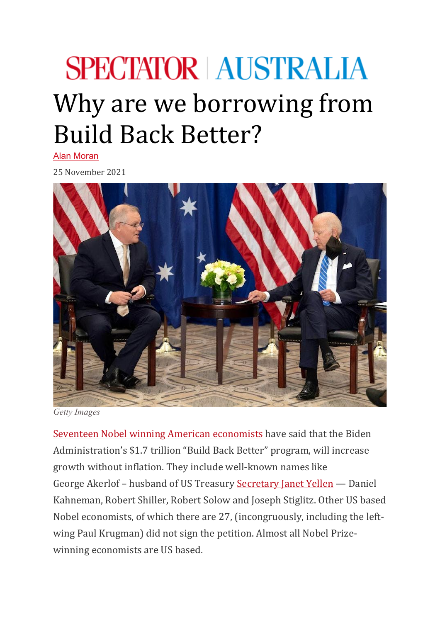## **SPECTATOR AUSTRALIA** Why are we borrowing from Build Back Better?

[Alan Moran](https://www.spectator.com.au/author/alanmoran/)

25 November 2021



*Getty Images*

[Seventeen Nobel winning American](https://www.epi.org/open-letter-from-nobel-laureates-in-support-of-economic-recovery-agenda/) economists have said that the Biden Administration's \$1.7 trillion "Build Back Better" program, will increase growth without inflation. They include well-known names like George Akerlof – husband of US Treasury [Secretary Janet Yellen](https://twitter.com/SecYellen) — Daniel Kahneman, Robert Shiller, Robert Solow and Joseph Stiglitz. Other US based Nobel economists, of which there are 27, (incongruously, including the leftwing Paul Krugman) did not sign the petition. Almost all Nobel Prizewinning economists are US based.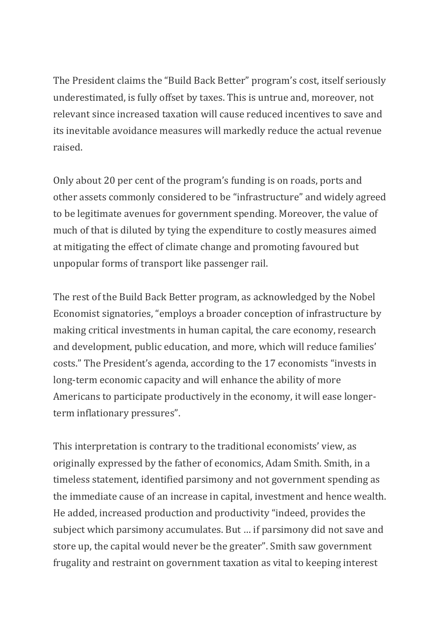The President claims the "Build Back Better" program's cost, itself seriously underestimated, is fully offset by taxes. This is untrue and, moreover, not relevant since increased taxation will cause reduced incentives to save and its inevitable avoidance measures will markedly reduce the actual revenue raised.

Only about 20 per cent of the program's funding is on roads, ports and other assets commonly considered to be "infrastructure" and widely agreed to be legitimate avenues for government spending. Moreover, the value of much of that is diluted by tying the expenditure to costly measures aimed at mitigating the effect of climate change and promoting favoured but unpopular forms of transport like passenger rail.

The rest of the Build Back Better program, as acknowledged by the Nobel Economist signatories, "employs a broader conception of infrastructure by making critical investments in human capital, the care economy, research and development, public education, and more, which will reduce families' costs." The President's agenda, according to the 17 economists "invests in long-term economic capacity and will enhance the ability of more Americans to participate productively in the economy, it will ease longerterm inflationary pressures".

This interpretation is contrary to the traditional economists' view, as originally expressed by the father of economics, Adam Smith. Smith, in a timeless statement, identified parsimony and not government spending as the immediate cause of an increase in capital, investment and hence wealth. He added, increased production and productivity "indeed, provides the subject which parsimony accumulates. But … if parsimony did not save and store up, the capital would never be the greater". Smith saw government frugality and restraint on government taxation as vital to keeping interest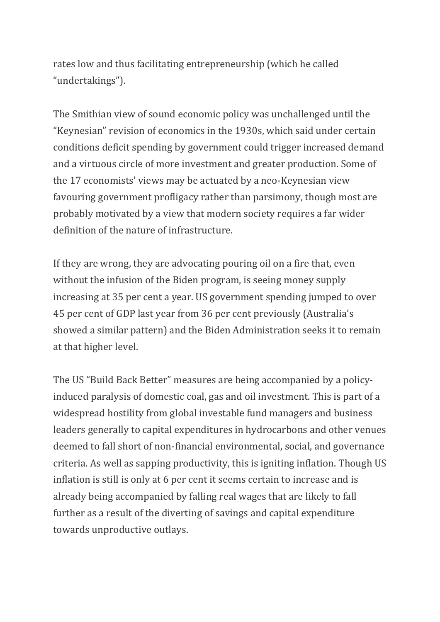rates low and thus facilitating entrepreneurship (which he called "undertakings").

The Smithian view of sound economic policy was unchallenged until the "Keynesian" revision of economics in the 1930s, which said under certain conditions deficit spending by government could trigger increased demand and a virtuous circle of more investment and greater production. Some of the 17 economists' views may be actuated by a neo-Keynesian view favouring government profligacy rather than parsimony, though most are probably motivated by a view that modern society requires a far wider definition of the nature of infrastructure.

If they are wrong, they are advocating pouring oil on a fire that, even without the infusion of the Biden program, is seeing money supply increasing at 35 per cent a year. US government spending jumped to over 45 per cent of GDP last year from 36 per cent previously (Australia's showed a similar pattern) and the Biden Administration seeks it to remain at that higher level.

The US "Build Back Better" measures are being accompanied by a policyinduced paralysis of domestic coal, gas and oil investment. This is part of a widespread hostility from global investable fund managers and business leaders generally to capital expenditures in hydrocarbons and other venues deemed to fall short of non-financial environmental, social, and governance criteria. As well as sapping productivity, this is igniting inflation. Though US inflation is still is only at 6 per cent it seems certain to increase and is already being accompanied by falling real wages that are likely to fall further as a result of the diverting of savings and capital expenditure towards unproductive outlays.